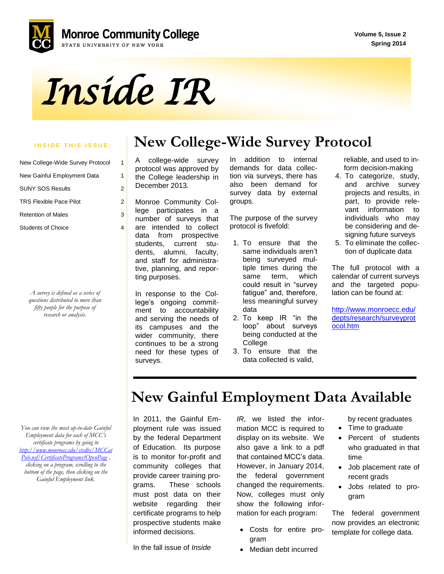

*Inside IR* 

### **INSIDE THIS ISSUE:** | New College-Wide Survey Protocol

| New College-Wide Survey Protocol |   |
|----------------------------------|---|
| New Gainful Employment Data      | 1 |
| <b>SUNY SOS Results</b>          | 2 |
| <b>TRS Flexible Pace Pilot</b>   | 2 |
| <b>Retention of Males</b>        | 3 |
| <b>Students of Choice</b>        |   |

*A survey is defined as a series of questions distributed to more than fifty people for the purpose of research or analysis.*

A college-wide survey protocol was approved by the College leadership in December 2013.

Monroe Community College participates in a number of surveys that are intended to collect data from prospective students, current students, alumni, faculty, and staff for administrative, planning, and reporting purposes.

In response to the College's ongoing commitment to accountability and serving the needs of its campuses and the wider community, there continues to be a strong need for these types of surveys.

In addition to internal demands for data collection via surveys, there has also been demand for survey data by external groups.

The purpose of the survey protocol is fivefold:

- 1. To ensure that the same individuals aren't being surveyed multiple times during the same term, which could result in "survey fatigue" and, therefore, less meaningful survey data
- 2. To keep IR "in the loop" about surveys being conducted at the College
- 3. To ensure that the data collected is valid,

 reliable, and used to in form decision-making

- 4. To categorize, study, and archive survey projects and results, in part, to provide relevant information to individuals who may be considering and designing future surveys
- 5. To eliminate the collection of duplicate data

The full protocol with a calendar of current surveys and the targeted population can be found at:

[http://www.monroecc.edu/](http://www.monroecc.edu/depts/research/surveyprotocol.htm) [depts/research/surveyprot](http://www.monroecc.edu/depts/research/surveyprotocol.htm) [ocol.htm](http://www.monroecc.edu/depts/research/surveyprotocol.htm)

*You can view the most up-to-date Gainful Employment data for each of MCC's certificate programs by going to [http://www.monroecc.edu/etsdbs/MCCat](http://www.monroecc.edu/etsdbs/MCCatPub.nsf/CertificatePrograms?OpenPage) [Pub.nsf/CertificatePrograms?OpenPage](http://www.monroecc.edu/etsdbs/MCCatPub.nsf/CertificatePrograms?OpenPage) , clicking on a program, scrolling to the bottom of the page, then clicking on the Gainful Employment link.*

## **New Gainful Employment Data Available**

In 2011, the Gainful Employment rule was issued by the federal Department of Education. Its purpose is to monitor for-profit and community colleges that provide career training programs. These schools must post data on their website regarding their certificate programs to help prospective students make informed decisions.

*IR*, we listed the information MCC is required to display on its website. We also gave a link to a pdf that contained MCC's data. However, in January 2014, the federal government changed the requirements. Now, colleges must only show the following information for each program:

- Costs for entire program
- Median debt incurred

by recent graduates

- Time to graduate
- Percent of students who graduated in that time
- Job placement rate of recent grads
- Jobs related to program

The federal government now provides an electronic template for college data.

In the fall issue of *Inside*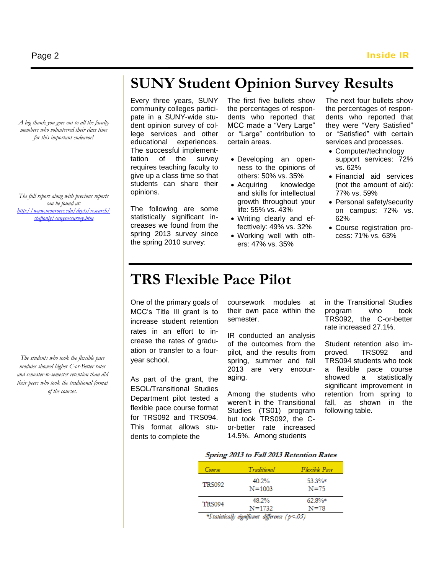*A big thank you goes out to all the faculty members who volunteered their class time for this important endeavor!*

*The full report along with previous reports can be found at: [http://www.monroecc.edu/depts/research/](http://www.monroecc.edu/depts/research/staffonly/sunysossurvey.htm) [staffonly/sunysossurvey.htm](http://www.monroecc.edu/depts/research/staffonly/sunysossurvey.htm)*

*The students who took the flexible pace modules showed higher C-or-Better rates and semester-to-semester retention than did their peers who took the traditional format of the courses.* 

# **SUNY Student Opinion Survey Results**

Every three years, SUNY community colleges participate in a SUNY-wide student opinion survey of college services and other educational experiences. The successful implementtation of the survey requires teaching faculty to give up a class time so that students can share their opinions.

The following are some statistically significant increases we found from the spring 2013 survey since the spring 2010 survey:

The first five bullets show the percentages of respondents who reported that MCC made a "Very Large" or "Large" contribution to certain areas.

- Developing an openness to the opinions of others: 50% vs. 35%
- Acquiring knowledge and skills for intellectual growth throughout your life: 55% vs. 43%
- Writing clearly and effecttively: 49% vs. 32%
- Working well with others: 47% vs. 35%

The next four bullets show the percentages of respondents who reported that they were "Very Satisfied" or "Satisfied" with certain services and processes.

- Computer/technology support services: 72% vs. 62%
- Financial aid services (not the amount of aid): 77% vs. 59%
- Personal safety/security on campus: 72% vs. 62%
- Course registration process: 71% vs. 63%

# **TRS Flexible Pace Pilot**

One of the primary goals of MCC's Title III grant is to increase student retention rates in an effort to increase the rates of graduation or transfer to a fouryear school.

As part of the grant, the ESOL/Transitional Studies Department pilot tested a flexible pace course format for TRS092 and TRS094. This format allows students to complete the

coursework modules at their own pace within the semester.

IR conducted an analysis of the outcomes from the pilot, and the results from spring, summer and fall 2013 are very encouraging.

Among the students who weren't in the Transitional Studies (TS01) program but took TRS092, the Cor-better rate increased 14.5%. Among students

in the Transitional Studies program who took TRS092, the C-or-better rate increased 27.1%.

Student retention also improved. TRS092 and TRS094 students who took a flexible pace course showed a statistically significant improvement in retention from spring to fall, as shown in the following table.

#### Spring 2013 to Fall 2013 Retention Rates

| Course                                                   | Traditional         | Flexible Pace         |  |
|----------------------------------------------------------|---------------------|-----------------------|--|
| <b>TRS092</b>                                            | 40.2%<br>$N = 1003$ | $53.3%$ *<br>$N = 75$ |  |
| <b>TRS094</b>                                            | 48.2%<br>$N = 1732$ | $62.8%$ *<br>$N = 78$ |  |
| $*$ Ctatistically simulacent difference ( $\uparrow$ 05) |                     |                       |  |

tically significant difference (p<.05)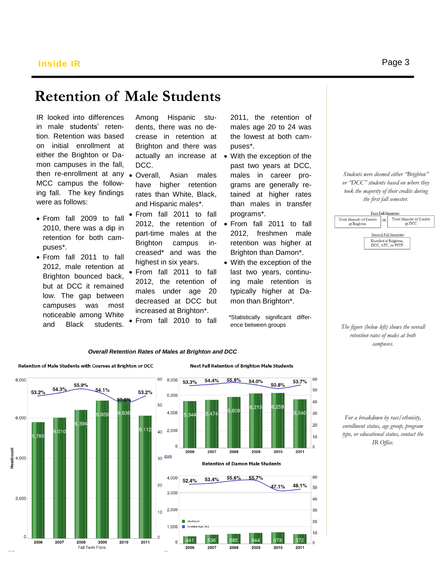### **Retention of Male Students**

IR looked into differences in male students' retention. Retention was based on initial enrollment at either the Brighton or Damon campuses in the fall, then re-enrollment at any Overall, Asian males MCC campus the following fall. The key findings were as follows:

- From fall 2009 to fall 2010, there was a dip in retention for both campuses\*.
- From fall 2011 to fall 2012, male retention at Brighton bounced back, but at DCC it remained low. The gap between campuses was most noticeable among White and Black students.

Among Hispanic students, there was no decrease in retention at Brighton and there was DCC.

- have higher retention rates than White, Black, and Hispanic males\*.
- From fall 2011 to fall 2012, the retention of part-time males at the Brighton campus increased\* and was the highest in six years.
- From fall 2011 to fall 2012, the retention of males under age 20 decreased at DCC but increased at Brighton\*.
- From fall 2010 to fall

2011, the retention of males age 20 to 24 was the lowest at both campuses\*.

- actually an increase at With the exception of the past two years at DCC, males in career programs are generally retained at higher rates than males in transfer programs\*.
	- From fall 2011 to fall 2012, freshmen male retention was higher at Brighton than Damon\*.
	- With the exception of the last two years, continuing male retention is typically higher at Damon than Brighton\*.

 \*Statistically significant difference between groups

*Students were deemed either "Brighton" or "DCC" students based on where they took the majority of their credits during the first fall semester.*



*The figure (below left) shows the overall retention rates of males at both campuses.* 

### *Overall Retention Rates of Males at Brighton and DCC*



*For a breakdown by race/ethnicity, enrollment status, age group, program type, or educational status, contact the IR Office.*